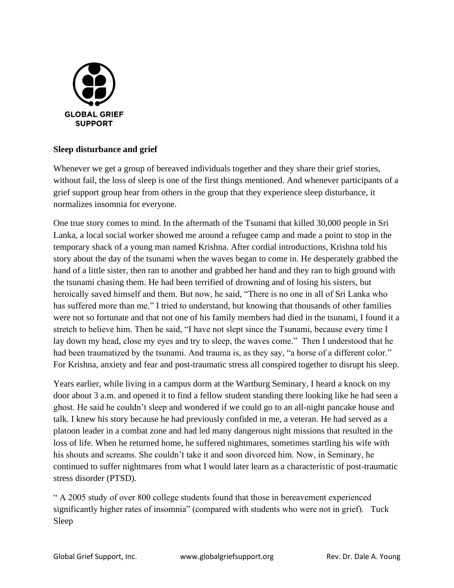

## **Sleep disturbance and grief**

Whenever we get a group of bereaved individuals together and they share their grief stories, without fail, the loss of sleep is one of the first things mentioned. And whenever participants of a grief support group hear from others in the group that they experience sleep disturbance, it normalizes insomnia for everyone.

One true story comes to mind. In the aftermath of the Tsunami that killed 30,000 people in Sri Lanka, a local social worker showed me around a refugee camp and made a point to stop in the temporary shack of a young man named Krishna. After cordial introductions, Krishna told his story about the day of the tsunami when the waves began to come in. He desperately grabbed the hand of a little sister, then ran to another and grabbed her hand and they ran to high ground with the tsunami chasing them. He had been terrified of drowning and of losing his sisters, but heroically saved himself and them. But now, he said, "There is no one in all of Sri Lanka who has suffered more than me." I tried to understand, but knowing that thousands of other families were not so fortunate and that not one of his family members had died in the tsunami, I found it a stretch to believe him. Then he said, "I have not slept since the Tsunami, because every time I lay down my head, close my eyes and try to sleep, the waves come." Then I understood that he had been traumatized by the tsunami. And trauma is, as they say, "a horse of a different color." For Krishna, anxiety and fear and post-traumatic stress all conspired together to disrupt his sleep.

Years earlier, while living in a campus dorm at the Wartburg Seminary, I heard a knock on my door about 3 a.m. and opened it to find a fellow student standing there looking like he had seen a ghost. He said he couldn't sleep and wondered if we could go to an all-night pancake house and talk. I knew his story because he had previously confided in me, a veteran. He had served as a platoon leader in a combat zone and had led many dangerous night missions that resulted in the loss of life. When he returned home, he suffered nightmares, sometimes startling his wife with his shouts and screams. She couldn't take it and soon divorced him. Now, in Seminary, he continued to suffer nightmares from what I would later learn as a characteristic of post-traumatic stress disorder (PTSD).

" A 2005 study of over 800 college students found that those in bereavement experienced significantly higher rates of insomnia" (compared with students who were not in grief). Tuck Sleep